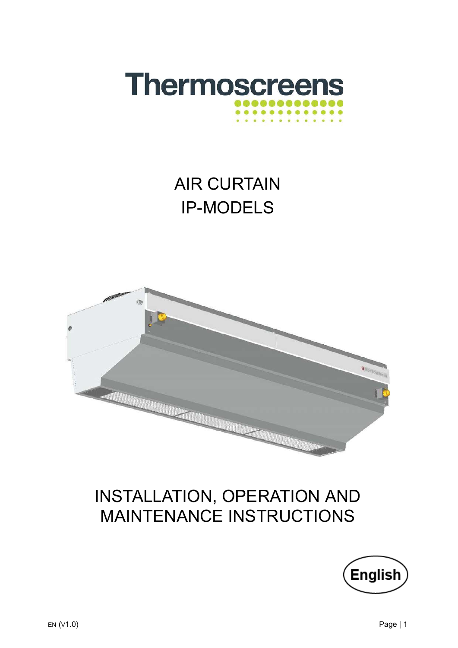

# AIR CURTAIN IP-MODELS



# INSTALLATION, OPERATION AND MAINTENANCE INSTRUCTIONS

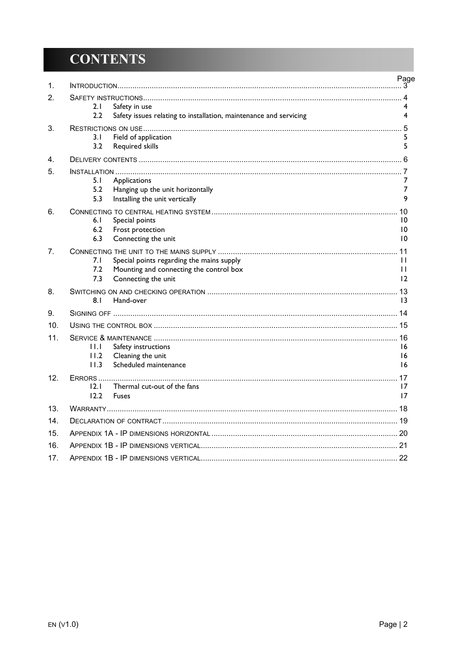## **CONTENTS**

| 1.              |                                                                                                    | Page              |
|-----------------|----------------------------------------------------------------------------------------------------|-------------------|
| 2.              |                                                                                                    |                   |
|                 | 2.1<br>Safety in use                                                                               | 4                 |
|                 | Safety issues relating to installation, maintenance and servicing<br>2.2                           | 4                 |
| 3.              |                                                                                                    |                   |
|                 | 3.1<br>Field of application                                                                        | 5                 |
|                 | 3.2<br>Required skills                                                                             | 5                 |
| 4.              |                                                                                                    |                   |
| 5.              |                                                                                                    |                   |
|                 | 5. I<br>Applications<br>5.2<br>Hanging up the unit horizontally                                    | 7<br>7            |
|                 | 5.3<br>Installing the unit vertically                                                              | 9                 |
| 6.              |                                                                                                    | 10                |
|                 | 6.1<br>Special points                                                                              | 10                |
|                 | 6.2<br>Frost protection                                                                            | $\overline{10}$   |
|                 | 6.3<br>Connecting the unit                                                                         | $\overline{10}$   |
| 7 <sub>1</sub>  |                                                                                                    |                   |
|                 | 7.I<br>Special points regarding the mains supply<br>7.2<br>Mounting and connecting the control box | $\mathbf{H}$<br>П |
|                 | 7.3<br>Connecting the unit                                                                         | 12                |
| 8.              |                                                                                                    |                   |
|                 | 8.1<br>Hand-over                                                                                   | 13                |
| 9.              |                                                                                                    |                   |
| 10 <sub>1</sub> |                                                                                                    |                   |
| 11.             |                                                                                                    |                   |
|                 | 11.1<br>Safety instructions                                                                        | 16                |
|                 | 11.2<br>Cleaning the unit                                                                          | 16                |
|                 | 11.3<br>Scheduled maintenance                                                                      | 16                |
| 12.             | Thermal cut-out of the fans<br>12.1                                                                | 17                |
|                 | 12.2<br><b>Fuses</b>                                                                               | 17                |
| 13.             |                                                                                                    |                   |
| 14 <sub>1</sub> |                                                                                                    |                   |
| 15.             |                                                                                                    |                   |
| 16.             |                                                                                                    |                   |
| 17 <sub>1</sub> |                                                                                                    |                   |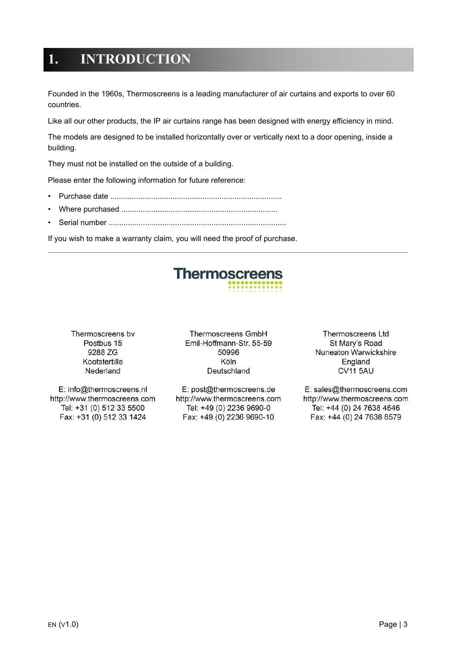## <span id="page-2-0"></span>**1. INTRODUCTION**

Founded in the 1960s, Thermoscreens is a leading manufacturer of air curtains and exports to over 60 countries.

Like all our other products, the IP air curtains range has been designed with energy efficiency in mind.

The models are designed to be installed horizontally over or vertically next to a door opening, inside a building.

They must not be installed on the outside of a building.

Please enter the following information for future reference:

- Purchase date ................................................................................
- Where purchased .........................................................................
- Serial number ...................................................................................

If you wish to make a warranty claim, you will need the proof of purchase.



Thermoscreens by Postbus 15 9288 ZG Kootstertille Nederland

E: info@thermoscreens.nl http://www.thermoscreens.com Tel: +31 (0) 512 33 5500 Fax: +31 (0) 512 33 1424

Thermoscreens GmbH Emil-Hoffmann-Str. 55-59 50996 Köln Deutschland

E: post@thermoscreens.de http://www.thermoscreens.com Tel: +49 (0) 2236 9690-0 Fax: +49 (0) 2236 9690-10

**Thermoscreens Ltd** St Mary's Road Nuneaton Warwickshire England **CV11 5AU** 

E: sales@thermoscreens.com http://www.thermoscreens.com Tel: +44 (0) 24 7638 4646 Fax: +44 (0) 24 7638 8579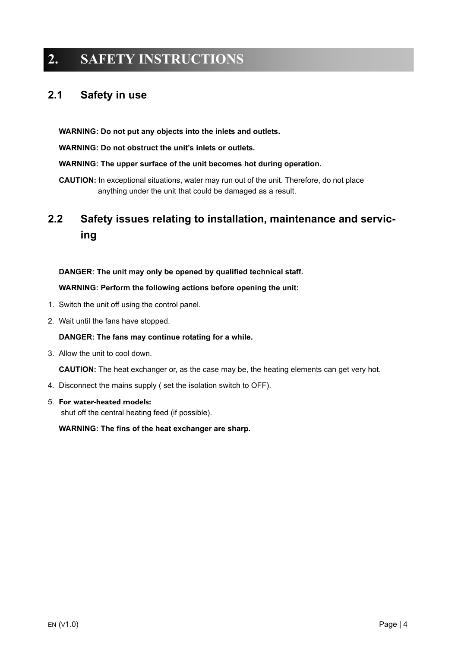## <span id="page-3-0"></span>**2. SAFETY INSTRUCTIONS**

### <span id="page-3-1"></span>**2.1 Safety in use**

**WARNING: Do not put any objects into the inlets and outlets.**

**WARNING: Do not obstruct the unit's inlets or outlets.**

#### **WARNING: The upper surface of the unit becomes hot during operation.**

**CAUTION:** In exceptional situations, water may run out of the unit. Therefore, do not place anything under the unit that could be damaged as a result.

### <span id="page-3-2"></span>**2.2 Safety issues relating to installation, maintenance and servicing**

#### **DANGER: The unit may only be opened by qualified technical staff.**

**WARNING: Perform the following actions before opening the unit:**

- 1. Switch the unit off using the control panel.
- 2. Wait until the fans have stopped.

### **DANGER: The fans may continue rotating for a while.**

3. Allow the unit to cool down.

**CAUTION:** The heat exchanger or, as the case may be, the heating elements can get very hot.

- 4. Disconnect the mains supply ( set the isolation switch to OFF).
- 5. **For water-heated models:**

shut off the central heating feed (if possible).

**WARNING: The fins of the heat exchanger are sharp.**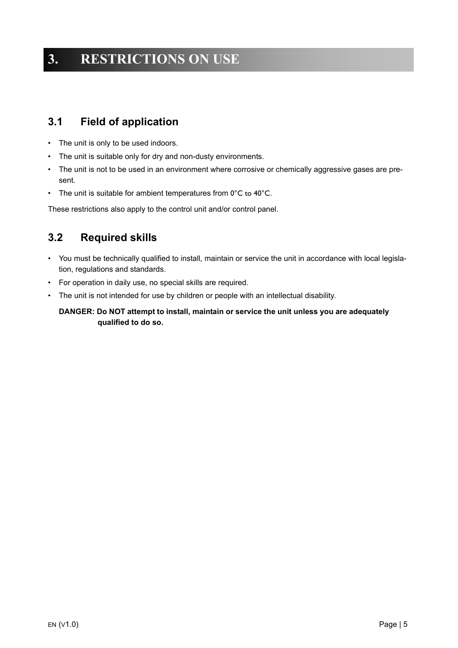## <span id="page-4-0"></span>**3. RESTRICTIONS ON USE**

### <span id="page-4-1"></span>**3.1 Field of application**

- The unit is only to be used indoors.
- The unit is suitable only for dry and non-dusty environments.
- The unit is not to be used in an environment where corrosive or chemically aggressive gases are present.
- The unit is suitable for ambient temperatures from 0°C to 40°C.

These restrictions also apply to the control unit and/or control panel.

### <span id="page-4-2"></span>**3.2 Required skills**

- You must be technically qualified to install, maintain or service the unit in accordance with local legislation, regulations and standards.
- For operation in daily use, no special skills are required.
- The unit is not intended for use by children or people with an intellectual disability.

**DANGER: Do NOT attempt to install, maintain or service the unit unless you are adequately qualified to do so.**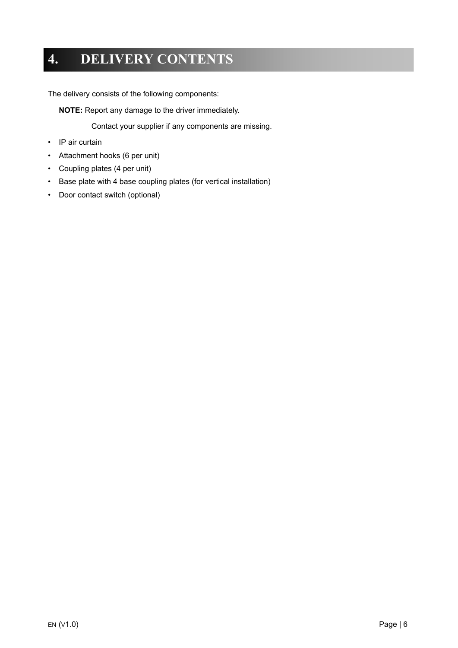## <span id="page-5-0"></span>**4. DELIVERY CONTENTS**

The delivery consists of the following components:

**NOTE:** Report any damage to the driver immediately.

Contact your supplier if any components are missing.

- IP air curtain
- Attachment hooks (6 per unit)
- Coupling plates (4 per unit)
- Base plate with 4 base coupling plates (for vertical installation)
- Door contact switch (optional)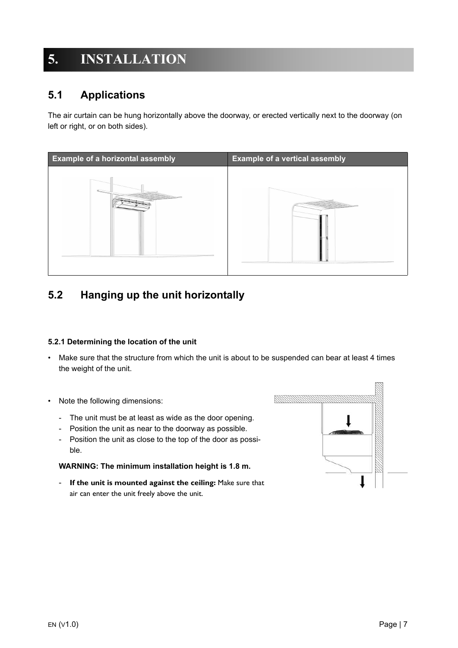## <span id="page-6-0"></span>**5. INSTALLATION**

### <span id="page-6-1"></span>**5.1 Applications**

The air curtain can be hung horizontally above the doorway, or erected vertically next to the doorway (on left or right, or on both sides).



### <span id="page-6-2"></span>**5.2 Hanging up the unit horizontally**

### **5.2.1 Determining the location of the unit**

- Make sure that the structure from which the unit is about to be suspended can bear at least 4 times the weight of the unit.
- Note the following dimensions:
	- The unit must be at least as wide as the door opening.
	- Position the unit as near to the doorway as possible.
	- Position the unit as close to the top of the door as possible.

#### **WARNING: The minimum installation height is 1.8 m.**

- **If the unit is mounted against the ceiling:** Make sure that air can enter the unit freely above the unit.

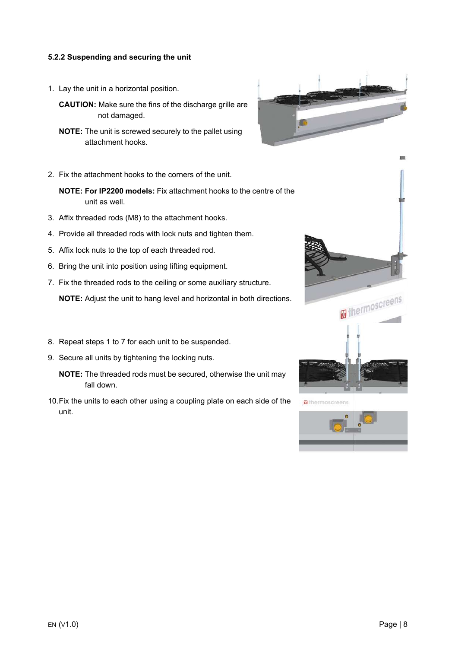#### **5.2.2 Suspending and securing the unit**

1. Lay the unit in a horizontal position.

**CAUTION:** Make sure the fins of the discharge grille are not damaged.

- **NOTE:** The unit is screwed securely to the pallet using attachment hooks.
- 2. Fix the attachment hooks to the corners of the unit.

**NOTE: For IP2200 models:** Fix attachment hooks to the centre of the unit as well.

- 3. Affix threaded rods (M8) to the attachment hooks.
- 4. Provide all threaded rods with lock nuts and tighten them.
- 5. Affix lock nuts to the top of each threaded rod.
- 6. Bring the unit into position using lifting equipment.
- 7. Fix the threaded rods to the ceiling or some auxiliary structure.

**NOTE:** Adjust the unit to hang level and horizontal in both directions.

- 8. Repeat steps 1 to 7 for each unit to be suspended.
- 9. Secure all units by tightening the locking nuts.
	- **NOTE:** The threaded rods must be secured, otherwise the unit may fall down.
- 10.Fix the units to each other using a coupling plate on each side of the unit.





**B** thermoscreens

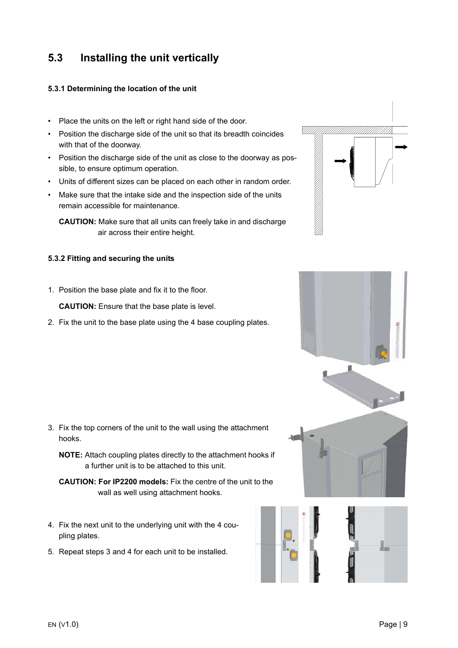### <span id="page-8-0"></span>**5.3 Installing the unit vertically**

#### **5.3.1 Determining the location of the unit**

- Place the units on the left or right hand side of the door.
- Position the discharge side of the unit so that its breadth coincides with that of the doorway.
- Position the discharge side of the unit as close to the doorway as possible, to ensure optimum operation.
- Units of different sizes can be placed on each other in random order.
- Make sure that the intake side and the inspection side of the units remain accessible for maintenance.

**CAUTION:** Make sure that all units can freely take in and discharge air across their entire height.

### **5.3.2 Fitting and securing the units**

1. Position the base plate and fix it to the floor.

**CAUTION:** Ensure that the base plate is level.

2. Fix the unit to the base plate using the 4 base coupling plates.

- 3. Fix the top corners of the unit to the wall using the attachment hooks.
	- **NOTE:** Attach coupling plates directly to the attachment hooks if a further unit is to be attached to this unit.
	- **CAUTION: For IP2200 models:** Fix the centre of the unit to the wall as well using attachment hooks.
- 4. Fix the next unit to the underlying unit with the 4 coupling plates.
- 5. Repeat steps 3 and 4 for each unit to be installed.



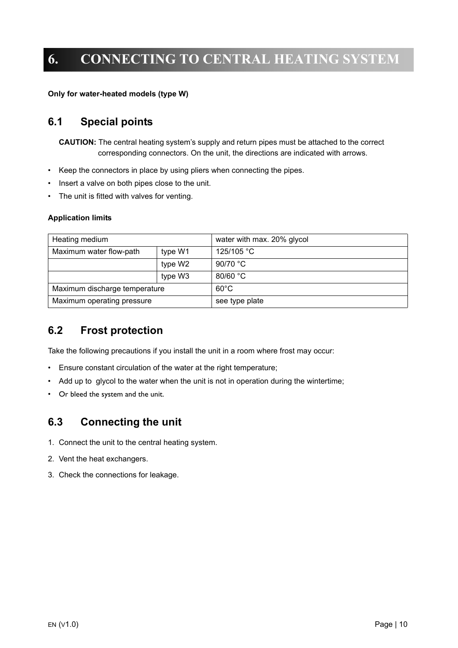## <span id="page-9-0"></span>**6. CONNECTING TO CENTRAL HEATING SYSTEM**

**Only for water-heated models (type W)**

### <span id="page-9-1"></span>**6.1 Special points**

**CAUTION:** The central heating system's supply and return pipes must be attached to the correct corresponding connectors. On the unit, the directions are indicated with arrows.

- Keep the connectors in place by using pliers when connecting the pipes.
- Insert a valve on both pipes close to the unit.
- The unit is fitted with valves for venting.

#### **Application limits**

| Heating medium                     |         | water with max. 20% glycol |  |  |
|------------------------------------|---------|----------------------------|--|--|
| Maximum water flow-path<br>type W1 |         | 125/105 °C                 |  |  |
|                                    | type W2 | 90/70 °C                   |  |  |
|                                    | type W3 | 80/60 °C                   |  |  |
| Maximum discharge temperature      |         | $60^{\circ}$ C             |  |  |
| Maximum operating pressure         |         | see type plate             |  |  |

### <span id="page-9-2"></span>**6.2 Frost protection**

Take the following precautions if you install the unit in a room where frost may occur:

- Ensure constant circulation of the water at the right temperature;
- Add up to glycol to the water when the unit is not in operation during the wintertime;
- Or bleed the system and the unit.

### <span id="page-9-3"></span>**6.3 Connecting the unit**

- 1. Connect the unit to the central heating system.
- 2. Vent the heat exchangers.
- 3. Check the connections for leakage.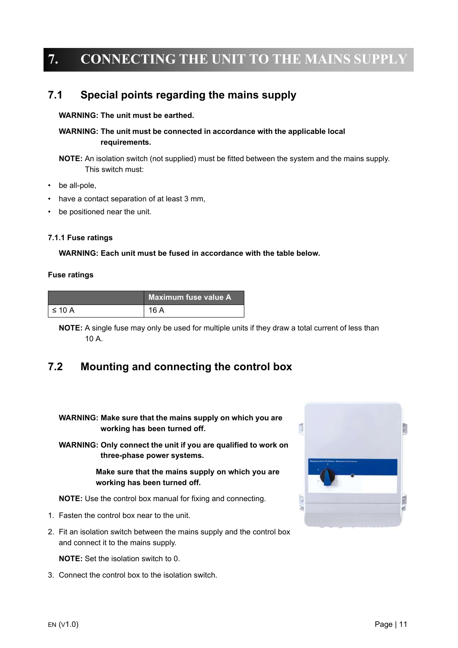## <span id="page-10-0"></span>**7. CONNECTING THE UNIT TO THE MAINS SUPPLY**

### <span id="page-10-1"></span>**7.1 Special points regarding the mains supply**

#### **WARNING: The unit must be earthed.**

### **WARNING: The unit must be connected in accordance with the applicable local requirements.**

**NOTE:** An isolation switch (not supplied) must be fitted between the system and the mains supply. This switch must:

- be all-pole,
- have a contact separation of at least 3 mm,
- be positioned near the unit.

#### **7.1.1 Fuse ratings**

#### **WARNING: Each unit must be fused in accordance with the table below.**

#### **Fuse ratings**

|                     | <b>Maximum fuse value A</b> |
|---------------------|-----------------------------|
| $\leq 10 \text{ A}$ | 16 A                        |

**NOTE:** A single fuse may only be used for multiple units if they draw a total current of less than 10 A.

### <span id="page-10-2"></span>**7.2 Mounting and connecting the control box**

**WARNING: Make sure that the mains supply on which you are working has been turned off.**

**WARNING: Only connect the unit if you are qualified to work on three-phase power systems.**

> **Make sure that the mains supply on which you are working has been turned off.**

**NOTE:** Use the control box manual for fixing and connecting.

- 1. Fasten the control box near to the unit.
- 2. Fit an isolation switch between the mains supply and the control box and connect it to the mains supply.

**NOTE:** Set the isolation switch to 0.

3. Connect the control box to the isolation switch.

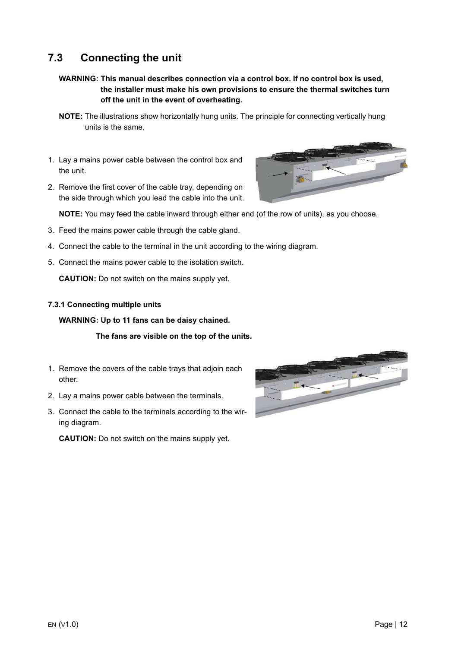### <span id="page-11-0"></span>**7.3 Connecting the unit**

- **WARNING: This manual describes connection via a control box. If no control box is used, the installer must make his own provisions to ensure the thermal switches turn off the unit in the event of overheating.**
- **NOTE:** The illustrations show horizontally hung units. The principle for connecting vertically hung units is the same.
- 1. Lay a mains power cable between the control box and the unit.
- 2. Remove the first cover of the cable tray, depending on the side through which you lead the cable into the unit.

**NOTE:** You may feed the cable inward through either end (of the row of units), as you choose.

- 3. Feed the mains power cable through the cable gland.
- 4. Connect the cable to the terminal in the unit according to the wiring diagram.
- 5. Connect the mains power cable to the isolation switch.

**CAUTION:** Do not switch on the mains supply yet.

#### **7.3.1 Connecting multiple units**

#### **WARNING: Up to 11 fans can be daisy chained.**

#### **The fans are visible on the top of the units.**

- 1. Remove the covers of the cable trays that adjoin each other.
- 2. Lay a mains power cable between the terminals.
- 3. Connect the cable to the terminals according to the wiring diagram.

**CAUTION:** Do not switch on the mains supply yet.



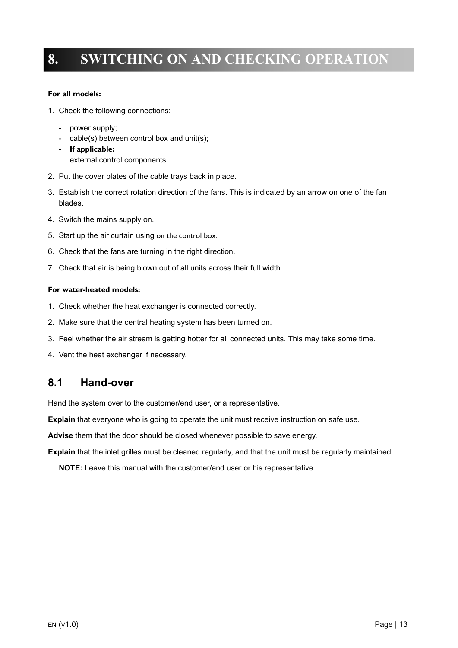## <span id="page-12-0"></span>**8. SWITCHING ON AND CHECKING OPERATION**

#### **For all models:**

- 1. Check the following connections:
	- power supply;
	- cable(s) between control box and unit(s);
	- **If applicable:** external control components.
- 2. Put the cover plates of the cable trays back in place.
- 3. Establish the correct rotation direction of the fans. This is indicated by an arrow on one of the fan blades.
- 4. Switch the mains supply on.
- 5. Start up the air curtain using on the control box.
- 6. Check that the fans are turning in the right direction.
- 7. Check that air is being blown out of all units across their full width.

#### **For water-heated models:**

- 1. Check whether the heat exchanger is connected correctly.
- 2. Make sure that the central heating system has been turned on.
- 3. Feel whether the air stream is getting hotter for all connected units. This may take some time.
- 4. Vent the heat exchanger if necessary.

### <span id="page-12-1"></span>**8.1 Hand-over**

Hand the system over to the customer/end user, or a representative.

**Explain** that everyone who is going to operate the unit must receive instruction on safe use.

**Advise** them that the door should be closed whenever possible to save energy.

**Explain** that the inlet grilles must be cleaned regularly, and that the unit must be regularly maintained.

**NOTE:** Leave this manual with the customer/end user or his representative.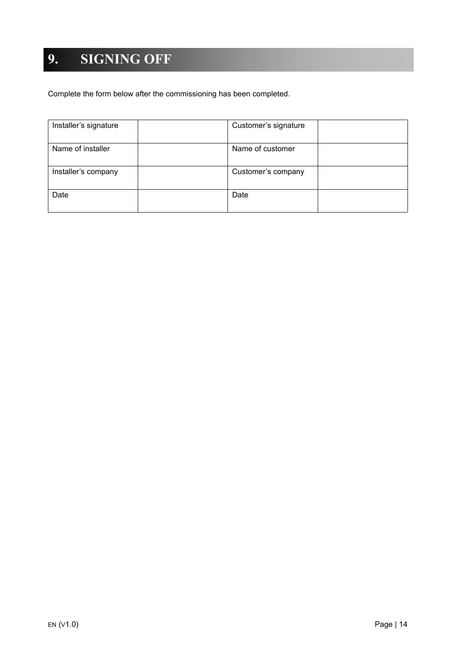# <span id="page-13-0"></span>**9. SIGNING OFF**

Complete the form below after the commissioning has been completed.

| Installer's signature | Customer's signature |
|-----------------------|----------------------|
| Name of installer     | Name of customer     |
| Installer's company   | Customer's company   |
| Date                  | Date                 |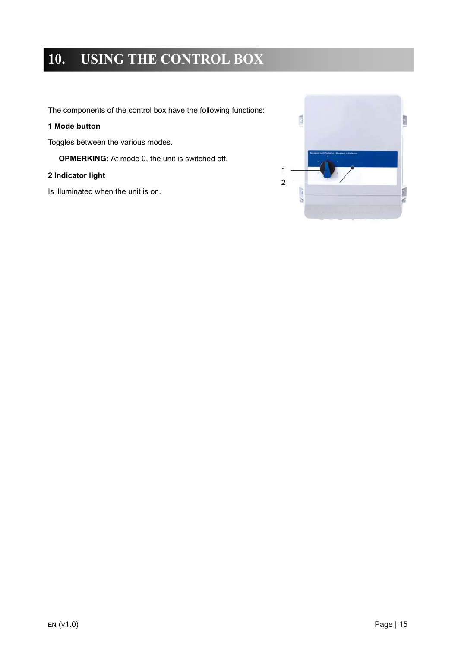## <span id="page-14-0"></span>**10. USING THE CONTROL BOX**

The components of the control box have the following functions:

### **1 Mode button**

Toggles between the various modes.

**OPMERKING:** At mode 0, the unit is switched off.

### **2 Indicator light**

Is illuminated when the unit is on.

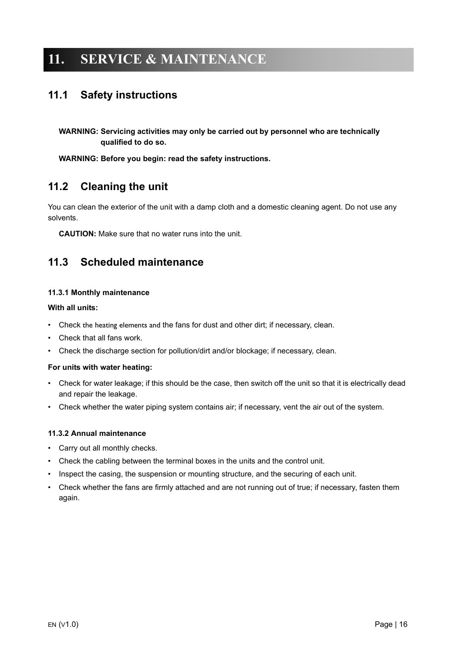## <span id="page-15-0"></span>**11. SERVICE & MAINTENANCE**

### <span id="page-15-1"></span>**11.1 Safety instructions**

**WARNING: Servicing activities may only be carried out by personnel who are technically qualified to do so.**

**WARNING: Before you begin: read the safety instructions.**

### <span id="page-15-2"></span>**11.2 Cleaning the unit**

You can clean the exterior of the unit with a damp cloth and a domestic cleaning agent. Do not use any solvents.

**CAUTION:** Make sure that no water runs into the unit.

### <span id="page-15-3"></span>**11.3 Scheduled maintenance**

#### **11.3.1 Monthly maintenance**

#### **With all units:**

- Check the heating elements and the fans for dust and other dirt; if necessary, clean.
- Check that all fans work.
- Check the discharge section for pollution/dirt and/or blockage; if necessary, clean.

#### **For units with water heating:**

- Check for water leakage; if this should be the case, then switch off the unit so that it is electrically dead and repair the leakage.
- Check whether the water piping system contains air; if necessary, vent the air out of the system.

#### **11.3.2 Annual maintenance**

- Carry out all monthly checks.
- Check the cabling between the terminal boxes in the units and the control unit.
- Inspect the casing, the suspension or mounting structure, and the securing of each unit.
- Check whether the fans are firmly attached and are not running out of true; if necessary, fasten them again.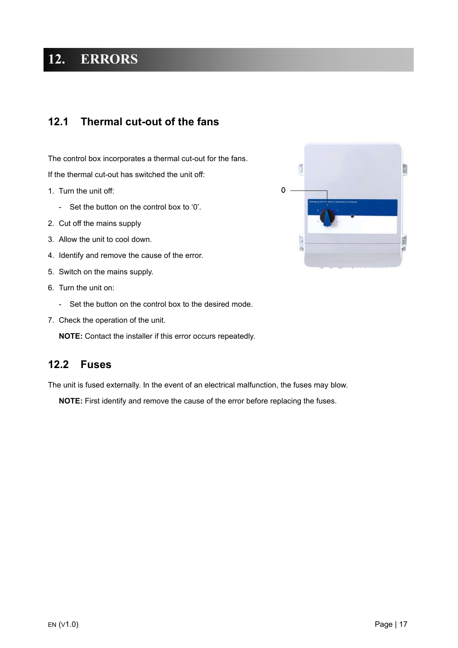## <span id="page-16-0"></span>**12. ERRORS**

### <span id="page-16-1"></span>**12.1 Thermal cut-out of the fans**

The control box incorporates a thermal cut-out for the fans. If the thermal cut-out has switched the unit off:

- 1. Turn the unit off:
	- Set the button on the control box to '0'.
- 2. Cut off the mains supply
- 3. Allow the unit to cool down.
- 4. Identify and remove the cause of the error.
- 5. Switch on the mains supply.
- 6. Turn the unit on:
	- Set the button on the control box to the desired mode.
- 7. Check the operation of the unit.

**NOTE:** Contact the installer if this error occurs repeatedly.

### <span id="page-16-2"></span>**12.2 Fuses**

The unit is fused externally. In the event of an electrical malfunction, the fuses may blow.

**NOTE:** First identify and remove the cause of the error before replacing the fuses.

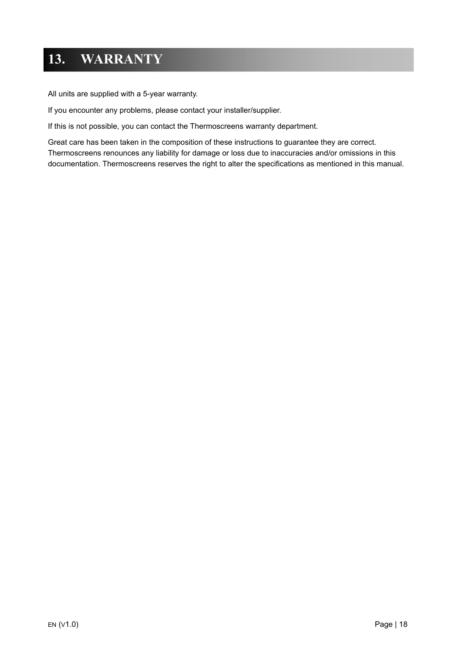## <span id="page-17-0"></span>**13. WARRANTY**

All units are supplied with a 5-year warranty.

If you encounter any problems, please contact your installer/supplier.

If this is not possible, you can contact the Thermoscreens warranty department.

Great care has been taken in the composition of these instructions to guarantee they are correct. Thermoscreens renounces any liability for damage or loss due to inaccuracies and/or omissions in this documentation. Thermoscreens reserves the right to alter the specifications as mentioned in this manual.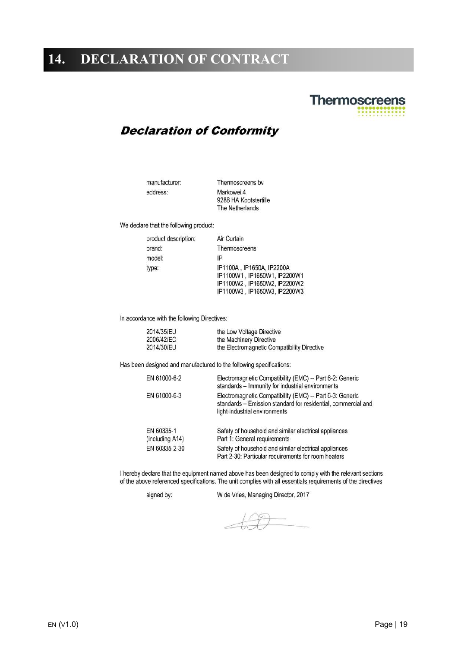## <span id="page-18-0"></span>**14. DECLARATION OF CONTRACT**

# **Thermoscreens**

### **Declaration of Conformity**

manufacturer: address:

Thermoscreens by Markowei 4 9288 HA Kootstertille The Netherlands

We declare that the following product:

| product description: | Air Curtain                                                                                                                |
|----------------------|----------------------------------------------------------------------------------------------------------------------------|
| brand:               | Thermoscreens                                                                                                              |
| model:               | IP                                                                                                                         |
| type:                | IP1100A, IP1650A, IP2200A<br>IP1100W1, IP1650W1, IP2200W1<br>IP1100W2 , IP1650W2, IP2200W2<br>IP1100W3, IP1650W3, IP2200W3 |

In accordance with the following Directives:

| 2014/35/EU | the Low Voltage Directive                   |
|------------|---------------------------------------------|
| 2006/42/EC | the Machinery Directive                     |
| 2014/30/EU | the Electromagnetic Compatibility Directive |

Has been designed and manufactured to the following specifications:

| EN 61000-6-2                  | Electromagnetic Compatibility (EMC) -- Part 6-2: Generic<br>standards - Immunity for industrial environments                                              |
|-------------------------------|-----------------------------------------------------------------------------------------------------------------------------------------------------------|
| EN 61000-6-3                  | Electromagnetic Compatibility (EMC) - Part 6-3: Generic<br>standards - Emission standard for residential, commercial and<br>light-industrial environments |
| EN 60335-1<br>(including A14) | Safety of household and similar electrical appliances<br>Part 1: General requirements                                                                     |
| EN 60335-2-30                 | Safety of household and similar electrical appliances<br>Part 2-30: Particular requirements for room heaters                                              |

I hereby declare that the equipment named above has been designed to comply with the relevant sections of the above referenced specifications. The unit complies with all essentials requirements of the directives

signed by:

W de Vries, Managing Director, 2017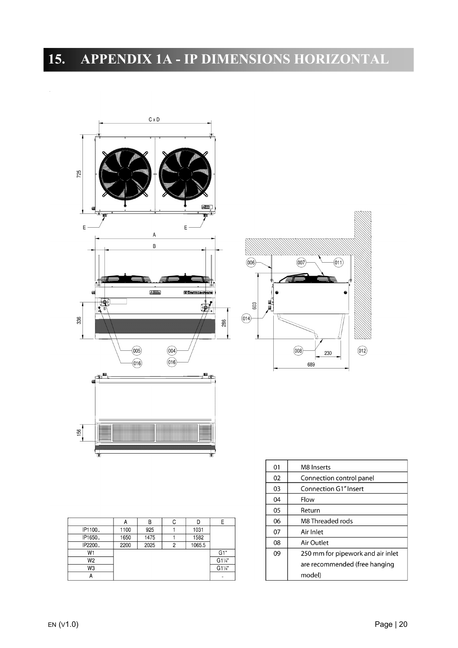# <span id="page-19-0"></span>**15. APPENDIX 1A - IP DIMENSIONS HORIZONTAL**



|                | A    | B    | С |        |        |
|----------------|------|------|---|--------|--------|
| IP1100.        | 1100 | 925  |   | 1031   |        |
| IP1650.        | 1650 | 1475 |   | 1582   |        |
| IP2200         | 2200 | 2025 | 2 | 1065.5 |        |
| W <sub>1</sub> |      |      |   |        | G1"    |
| W2             |      |      |   |        | G11/4" |
| W3             |      |      |   |        | G11/4" |
|                |      |      |   |        |        |

| 01 | M8 Inserts                        |
|----|-----------------------------------|
| 02 | Connection control panel          |
| 03 | Connection G1" Insert             |
| 04 | Flow                              |
| 05 | Return                            |
| 06 | M8 Threaded rods                  |
| 07 | Air Inlet                         |
| 08 | Air Outlet                        |
| 09 | 250 mm for pipework and air inlet |
|    | are recommended (free hanging     |
|    | model)                            |

 $(012)$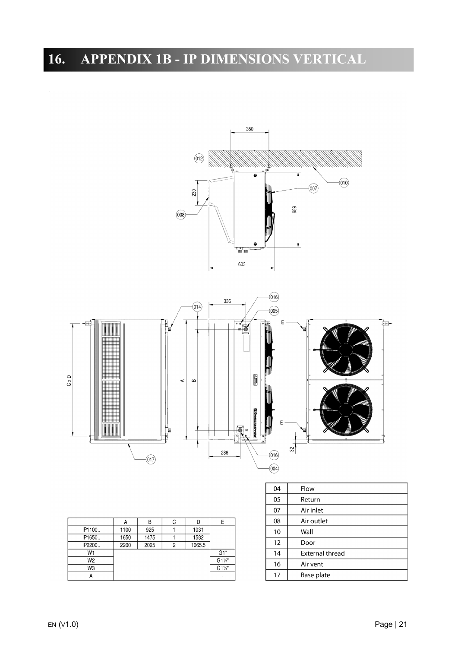# <span id="page-20-0"></span>**16. APPENDIX 1B - IP DIMENSIONS VERTICAL**



|                |      | В    | C |        | E      |
|----------------|------|------|---|--------|--------|
| IP1100         | 1100 | 925  |   | 1031   |        |
| IP1650.        | 1650 | 1475 |   | 1582   |        |
| IP2200         | 2200 | 2025 | c | 1065.5 |        |
| W <sub>1</sub> |      |      |   |        | G1"    |
| W2             |      |      |   |        | G11/4" |
| W3             |      |      |   |        | G11/4" |
|                |      |      |   |        |        |

| 04 | Flow                   |
|----|------------------------|
| 05 | Return                 |
| 07 | Air inlet              |
| 08 | Air outlet             |
| 10 | Wall                   |
| 12 | Door                   |
| 14 | <b>External thread</b> |
| 16 | Air vent               |
| 17 | Base plate             |